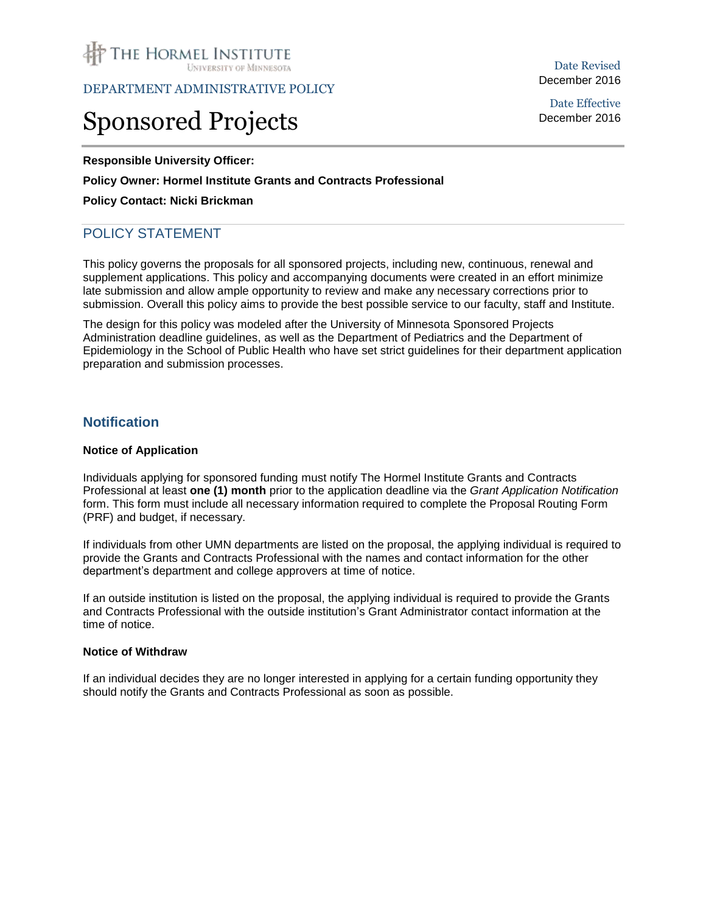

DEPARTMENT ADMINISTRATIVE POLICY

# Sponsored Projects

**Responsible University Officer:**

## **Policy Owner: Hormel Institute Grants and Contracts Professional**

## **Policy Contact: Nicki Brickman**

# POLICY STATEMENT

This policy governs the proposals for all sponsored projects, including new, continuous, renewal and supplement applications. This policy and accompanying documents were created in an effort minimize late submission and allow ample opportunity to review and make any necessary corrections prior to submission. Overall this policy aims to provide the best possible service to our faculty, staff and Institute.

The design for this policy was modeled after the University of Minnesota Sponsored Projects Administration deadline guidelines, as well as the Department of Pediatrics and the Department of Epidemiology in the School of Public Health who have set strict guidelines for their department application preparation and submission processes.

## **Notification**

#### **Notice of Application**

Individuals applying for sponsored funding must notify The Hormel Institute Grants and Contracts Professional at least **one (1) month** prior to the application deadline via the *Grant Application Notification* form. This form must include all necessary information required to complete the Proposal Routing Form (PRF) and budget, if necessary.

If individuals from other UMN departments are listed on the proposal, the applying individual is required to provide the Grants and Contracts Professional with the names and contact information for the other department's department and college approvers at time of notice.

If an outside institution is listed on the proposal, the applying individual is required to provide the Grants and Contracts Professional with the outside institution's Grant Administrator contact information at the time of notice.

#### **Notice of Withdraw**

If an individual decides they are no longer interested in applying for a certain funding opportunity they should notify the Grants and Contracts Professional as soon as possible.

Date Revised December 2016

Date Effective December 2016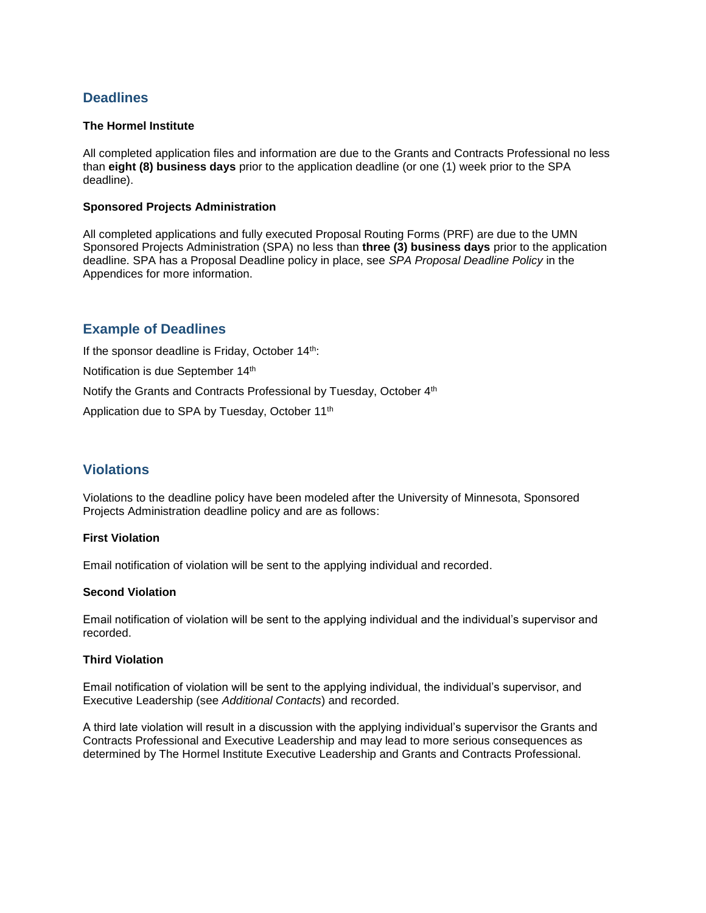# **Deadlines**

## **The Hormel Institute**

All completed application files and information are due to the Grants and Contracts Professional no less than **eight (8) business days** prior to the application deadline (or one (1) week prior to the SPA deadline).

## **Sponsored Projects Administration**

All completed applications and fully executed Proposal Routing Forms (PRF) are due to the UMN Sponsored Projects Administration (SPA) no less than **three (3) business days** prior to the application deadline. SPA has a Proposal Deadline policy in place, see *SPA Proposal Deadline Policy* in the Appendices for more information.

# **Example of Deadlines**

If the sponsor deadline is Friday, October 14th: Notification is due September 14th Notify the Grants and Contracts Professional by Tuesday, October 4<sup>th</sup> Application due to SPA by Tuesday, October 11th

# **Violations**

Violations to the deadline policy have been modeled after the University of Minnesota, Sponsored Projects Administration deadline policy and are as follows:

## **First Violation**

Email notification of violation will be sent to the applying individual and recorded.

## **Second Violation**

Email notification of violation will be sent to the applying individual and the individual's supervisor and recorded.

## **Third Violation**

Email notification of violation will be sent to the applying individual, the individual's supervisor, and Executive Leadership (see *Additional Contacts*) and recorded.

A third late violation will result in a discussion with the applying individual's supervisor the Grants and Contracts Professional and Executive Leadership and may lead to more serious consequences as determined by The Hormel Institute Executive Leadership and Grants and Contracts Professional.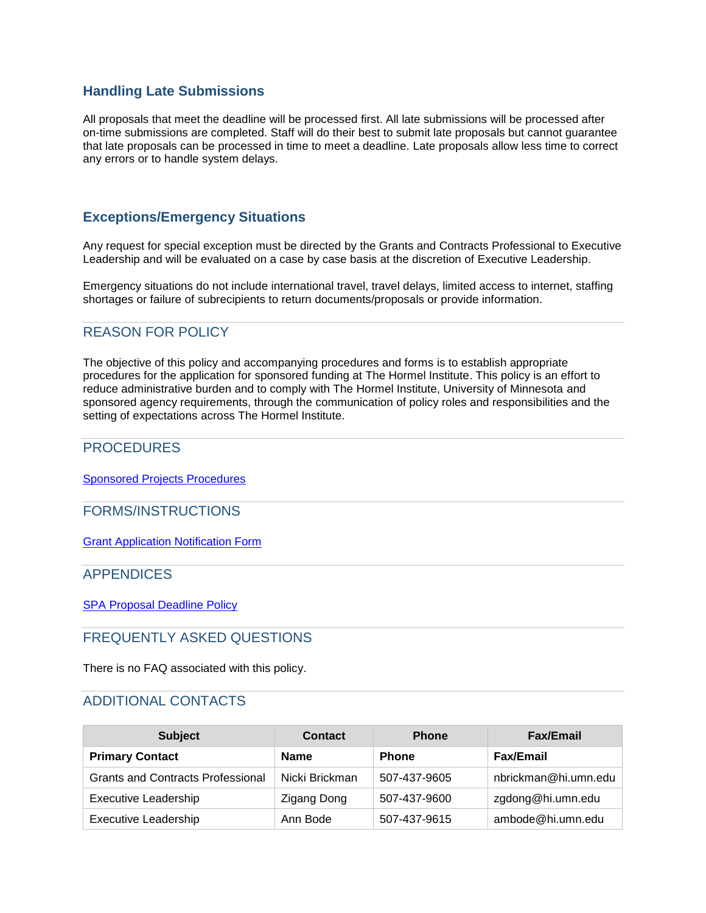# **Handling Late Submissions**

All proposals that meet the deadline will be processed first. All late submissions will be processed after on-time submissions are completed. Staff will do their best to submit late proposals but cannot guarantee that late proposals can be processed in time to meet a deadline. Late proposals allow less time to correct any errors or to handle system delays.

# **Exceptions/Emergency Situations**

Any request for special exception must be directed by the Grants and Contracts Professional to Executive Leadership and will be evaluated on a case by case basis at the discretion of Executive Leadership.

Emergency situations do not include international travel, travel delays, limited access to internet, staffing shortages or failure of subrecipients to return documents/proposals or provide information.

# REASON FOR POLICY

The objective of this policy and accompanying procedures and forms is to establish appropriate procedures for the application for sponsored funding at The Hormel Institute. This policy is an effort to reduce administrative burden and to comply with The Hormel Institute, University of Minnesota and sponsored agency requirements, through the communication of policy roles and responsibilities and the setting of expectations across The Hormel Institute.

## PROCEDURES

[Sponsored Projects Procedures](Grant%20Application%20Procedures.pdf)

FORMS/INSTRUCTIONS

[Grant Application Notification Form](https://umn.qualtrics.com/SE/?SID=SV_6nxflzE04gTeWHP)

## APPENDICES

[SPA Proposal Deadline Policy](http://www.research.umn.edu/ospa/documents/ProposalSubmission.html)

## FREQUENTLY ASKED QUESTIONS

There is no FAQ associated with this policy.

# ADDITIONAL CONTACTS

| <b>Subject</b>                           | <b>Contact</b>     | <b>Phone</b> | <b>Fax/Email</b>     |
|------------------------------------------|--------------------|--------------|----------------------|
| <b>Primary Contact</b>                   | <b>Name</b>        | <b>Phone</b> | <b>Fax/Email</b>     |
| <b>Grants and Contracts Professional</b> | Nicki Brickman     | 507-437-9605 | nbrickman@hi.umn.edu |
| <b>Executive Leadership</b>              | <b>Zigang Dong</b> | 507-437-9600 | zgdong@hi.umn.edu    |
| <b>Executive Leadership</b>              | Ann Bode           | 507-437-9615 | ambode@hi.umn.edu    |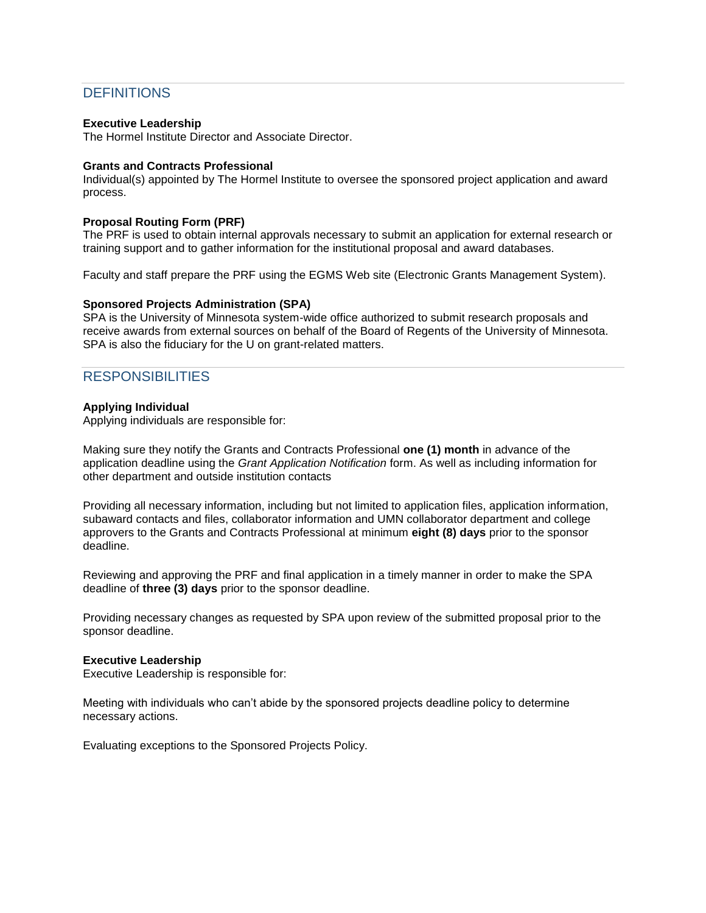# **DEFINITIONS**

## **Executive Leadership**

The Hormel Institute Director and Associate Director.

## **Grants and Contracts Professional**

Individual(s) appointed by The Hormel Institute to oversee the sponsored project application and award process.

#### **Proposal Routing Form (PRF)**

The PRF is used to obtain internal approvals necessary to submit an application for external research or training support and to gather information for the institutional proposal and award databases.

Faculty and staff prepare the PRF using the EGMS Web site (Electronic Grants Management System).

#### **Sponsored Projects Administration (SPA)**

SPA is the University of Minnesota system-wide office authorized to submit research proposals and receive awards from external sources on behalf of the Board of Regents of the University of Minnesota. SPA is also the fiduciary for the U on grant-related matters.

# **RESPONSIBILITIES**

#### **Applying Individual**

Applying individuals are responsible for:

Making sure they notify the Grants and Contracts Professional **one (1) month** in advance of the application deadline using the *Grant Application Notification* form. As well as including information for other department and outside institution contacts

Providing all necessary information, including but not limited to application files, application information, subaward contacts and files, collaborator information and UMN collaborator department and college approvers to the Grants and Contracts Professional at minimum **eight (8) days** prior to the sponsor deadline.

Reviewing and approving the PRF and final application in a timely manner in order to make the SPA deadline of **three (3) days** prior to the sponsor deadline.

Providing necessary changes as requested by SPA upon review of the submitted proposal prior to the sponsor deadline.

#### **Executive Leadership**

Executive Leadership is responsible for:

Meeting with individuals who can't abide by the sponsored projects deadline policy to determine necessary actions.

Evaluating exceptions to the Sponsored Projects Policy.